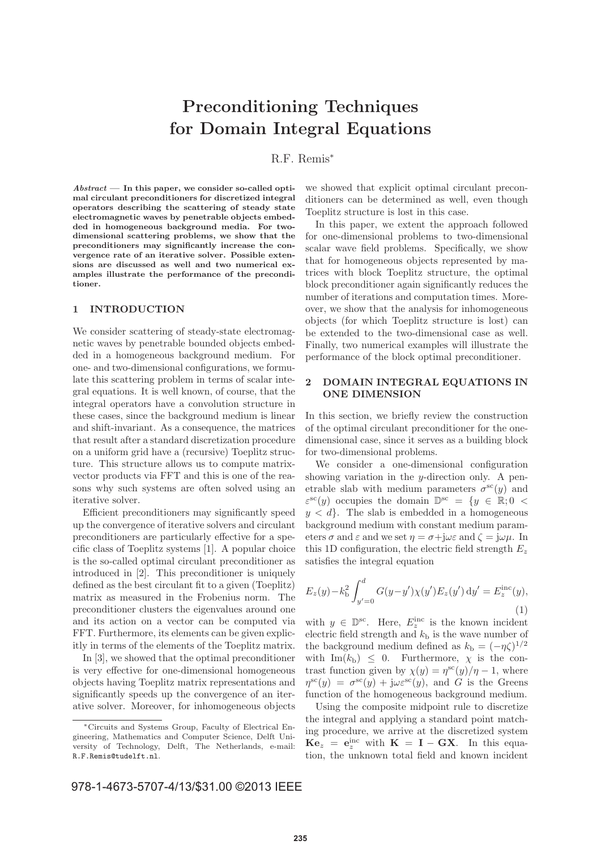# **Preconditioning Techniques for Domain Integral Equations**

R.F. Remis<sup>∗</sup>

*Abstract* **— In this paper, we consider so-called optimal circulant preconditioners for discretized integral operators describing the scattering of steady state electromagnetic waves by penetrable objects embedded in homogeneous background media. For twodimensional scattering problems, we show that the preconditioners may significantly increase the convergence rate of an iterative solver. Possible extensions are discussed as well and two numerical examples illustrate the performance of the preconditioner.**

#### **1 INTRODUCTION**

We consider scattering of steady-state electromagnetic waves by penetrable bounded objects embedded in a homogeneous background medium. For one- and two-dimensional configurations, we formulate this scattering problem in terms of scalar integral equations. It is well known, of course, that the integral operators have a convolution structure in these cases, since the background medium is linear and shift-invariant. As a consequence, the matrices that result after a standard discretization procedure on a uniform grid have a (recursive) Toeplitz structure. This structure allows us to compute matrixvector products via FFT and this is one of the reasons why such systems are often solved using an iterative solver.

Efficient preconditioners may significantly speed up the convergence of iterative solvers and circulant preconditioners are particularly effective for a specific class of Toeplitz systems [1]. A popular choice is the so-called optimal circulant preconditioner as introduced in [2]. This preconditioner is uniquely defined as the best circulant fit to a given (Toeplitz) matrix as measured in the Frobenius norm. The preconditioner clusters the eigenvalues around one and its action on a vector can be computed via FFT. Furthermore, its elements can be given explicitly in terms of the elements of the Toeplitz matrix.

In [3], we showed that the optimal preconditioner is very effective for one-dimensional homogeneous objects having Toeplitz matrix representations and significantly speeds up the convergence of an iterative solver. Moreover, for inhomogeneous objects we showed that explicit optimal circulant preconditioners can be determined as well, even though Toeplitz structure is lost in this case.

In this paper, we extent the approach followed for one-dimensional problems to two-dimensional scalar wave field problems. Specifically, we show that for homogeneous objects represented by matrices with block Toeplitz structure, the optimal block preconditioner again significantly reduces the number of iterations and computation times. Moreover, we show that the analysis for inhomogeneous objects (for which Toeplitz structure is lost) can be extended to the two-dimensional case as well. Finally, two numerical examples will illustrate the performance of the block optimal preconditioner.

## **2 DOMAIN INTEGRAL EQUATIONS IN ONE DIMENSION**

In this section, we briefly review the construction of the optimal circulant preconditioner for the onedimensional case, since it serves as a building block for two-dimensional problems.

We consider a one-dimensional configuration showing variation in the y-direction only. A penetrable slab with medium parameters  $\sigma^{\rm sc}(y)$  and  $\varepsilon^{\rm sc}(y)$  occupies the domain  $\mathbb{D}^{\rm sc} = \{y \in \mathbb{R}; 0 \leq$  $y < d$ . The slab is embedded in a homogeneous background medium with constant medium parameters  $\sigma$  and  $\varepsilon$  and we set  $\eta = \sigma + j\omega\varepsilon$  and  $\zeta = j\omega\mu$ . In this 1D configuration, the electric field strength  $E_z$ satisfies the integral equation

$$
E_z(y) - k_b^2 \int_{y'=0}^d G(y - y') \chi(y') E_z(y') \, dy' = E_z^{\rm inc}(y),
$$
\n(1)

with  $y \in \mathbb{D}^{\text{sc}}$ . Here,  $E_z^{\text{inc}}$  is the known incident electric field strength and  $k<sub>b</sub>$  is the wave number of the background medium defined as  $k<sub>b</sub> = (-\eta \zeta)^{1/2}$ with  $\text{Im}(k_{\text{b}}) \leq 0$ . Furthermore,  $\chi$  is the contrast function given by  $\chi(y) = \eta^{\rm sc}(y)/\eta - 1$ , where  $\eta^{\rm sc}(y) = \sigma^{\rm sc}(y) + j\omega \varepsilon^{\rm sc}(y)$ , and G is the Greens function of the homogeneous background medium.

Using the composite midpoint rule to discretize the integral and applying a standard point matching procedure, we arrive at the discretized system  $\mathbf{K}\mathbf{e}_z = \mathbf{e}_z^{\text{inc}}$  with  $\mathbf{K} = \mathbf{I} - \mathbf{G}\mathbf{X}$ . In this equation, the unknown total field and known incident

978-1-4673-5707-4/13/\$31.00 ©2013 IEEE

<sup>∗</sup>Circuits and Systems Group, Faculty of Electrical Engineering, Mathematics and Computer Science, Delft University of Technology, Delft, The Netherlands, e-mail: R.F.Remis@tudelft.nl.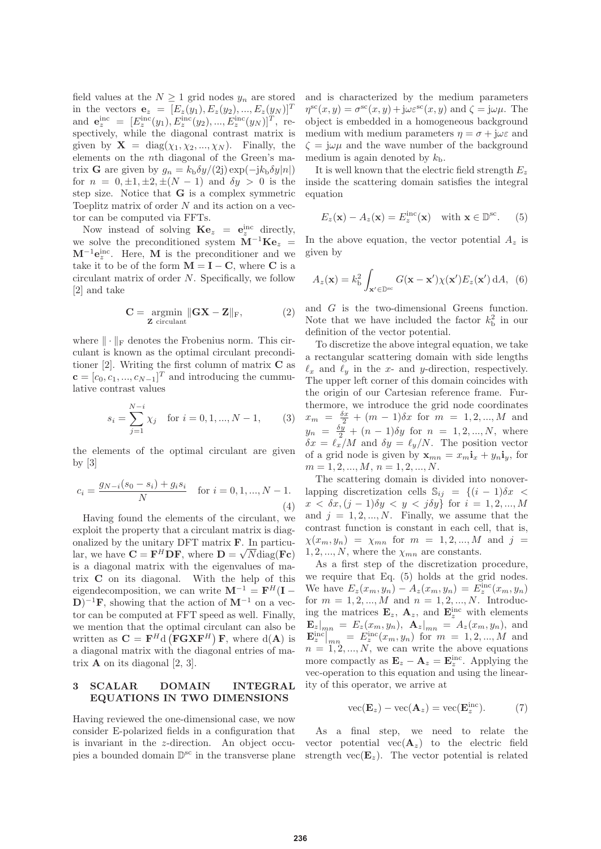field values at the  $N \geq 1$  grid nodes  $y_n$  are stored in the vectors  ${\bf e}_z = [E_z(y_1), E_z(y_2), ..., E_z(y_N)]^T$ and  $\mathbf{e}_z^{\text{inc}} = [E_z^{\text{inc}}(y_1), E_z^{\text{inc}}(y_2), ..., E_z^{\text{inc}}(y_N)]^T$ , respectively, while the diagonal contrast matrix is given by  $\mathbf{X} = \text{diag}(\chi_1, \chi_2, ..., \chi_N)$ . Finally, the elements on the nth diagonal of the Green's matrix **G** are given by  $g_n = k_b \delta y/(2j) \exp(-j k_b \delta y|n|)$ for  $n = 0, \pm 1, \pm 2, \pm (N - 1)$  and  $\delta y > 0$  is the step size. Notice that **G** is a complex symmetric Toeplitz matrix of order N and its action on a vector can be computed via FFTs.

Now instead of solving  $\mathbf{Ke}_z = \mathbf{e}_z^{\text{inc}}$  directly, we solve the preconditioned system  $\mathbf{M}^{-1}\mathbf{K}\mathbf{e}_z$  =  $\mathbf{M}^{-1}\mathbf{e}_z^{\text{inc}}$ . Here, **M** is the preconditioner and we take it to be of the form  $M = I - C$ , where C is a circulant matrix of order N. Specifically, we follow [2] and take

$$
\mathbf{C} = \underset{\mathbf{Z} \text{ circular}}{\operatorname{argmin}} \|\mathbf{G}\mathbf{X} - \mathbf{Z}\|_{\text{F}},\tag{2}
$$

where  $\|\cdot\|_{\text{F}}$  denotes the Frobenius norm. This circulant is known as the optimal circulant preconditioner [2]. Writing the first column of matrix **C** as  $\mathbf{c} = [c_0, c_1, ..., c_{N-1}]^T$  and introducing the cummulative contrast values

$$
s_i = \sum_{j=1}^{N-i} \chi_j \quad \text{for } i = 0, 1, ..., N - 1,
$$
 (3)

the elements of the optimal circulant are given by [3]

$$
c_i = \frac{g_{N-i}(s_0 - s_i) + g_i s_i}{N} \quad \text{for } i = 0, 1, ..., N - 1.
$$
\n(4)

Having found the elements of the circulant, we exploit the property that a circulant matrix is diagonalized by the unitary DFT matrix **F**. In particular, we have  $\mathbf{C} = \mathbf{F}^H \mathbf{D} \mathbf{F}$ , where  $\mathbf{D} = \sqrt{N} \text{diag}(\mathbf{Fc})$ is a diagonal matrix with the eigenvalues of matrix **C** on its diagonal. With the help of this eigendecomposition, we can write  $\mathbf{M}^{-1} = \mathbf{F}^H(\mathbf{I} -$ **<sup>** $-1$ **</sup><b>F**, showing that the action of **M**<sup>−1</sup> on a vector can be computed at FFT speed as well. Finally, we mention that the optimal circulant can also be written as  $\mathbf{C} = \mathbf{F}^H \mathbf{d} \left( \mathbf{F} \mathbf{G} \mathbf{X} \mathbf{F}^H \right) \mathbf{F}$ , where  $\mathbf{d}(\mathbf{A})$  is a diagonal matrix with the diagonal entries of matrix **A** on its diagonal [2, 3].

### **3 SCALAR DOMAIN INTEGRAL EQUATIONS IN TWO DIMENSIONS**

Having reviewed the one-dimensional case, we now consider E-polarized fields in a configuration that is invariant in the z-direction. An object occupies a bounded domain  $\mathbb{D}^{\text{sc}}$  in the transverse plane and is characterized by the medium parameters  $\eta^{\rm sc}(x, y) = \sigma^{\rm sc}(x, y) + j\omega \varepsilon^{\rm sc}(x, y)$  and  $\zeta = j\omega\mu$ . The object is embedded in a homogeneous background medium with medium parameters  $\eta = \sigma + j\omega\varepsilon$  and  $\zeta = j\omega\mu$  and the wave number of the background medium is again denoted by  $k_{\rm b}$ .

It is well known that the electric field strength  $E_z$ inside the scattering domain satisfies the integral equation

$$
E_z(\mathbf{x}) - A_z(\mathbf{x}) = E_z^{\text{inc}}(\mathbf{x}) \quad \text{with } \mathbf{x} \in \mathbb{D}^{\text{sc}}. \tag{5}
$$

In the above equation, the vector potential  $A<sub>z</sub>$  is given by

$$
A_z(\mathbf{x}) = k_\mathrm{b}^2 \int_{\mathbf{x}' \in \mathbb{D}^{\mathrm{sc}}} G(\mathbf{x} - \mathbf{x}') \chi(\mathbf{x}') E_z(\mathbf{x}') \, \mathrm{d}A, \tag{6}
$$

and G is the two-dimensional Greens function. Note that we have included the factor  $k_b^2$  in our definition of the vector potential.

To discretize the above integral equation, we take a rectangular scattering domain with side lengths  $\ell_x$  and  $\ell_y$  in the x- and y-direction, respectively. The upper left corner of this domain coincides with the origin of our Cartesian reference frame. Furthermore, we introduce the grid node coordinates  $x_m = \frac{\delta x}{2} + (m-1)\delta x$  for  $m = 1, 2, ..., M$  and  $y_n = \frac{\delta y}{2} + (n-1)\delta y$  for  $n = 1, 2, ..., N$ , where  $\delta x = \ell_x/M$  and  $\delta y = \ell_y/N$ . The position vector of a grid node is given by  $\mathbf{x}_{mn} = x_m \mathbf{i}_x + y_n \mathbf{i}_y$ , for  $m = 1, 2, ..., M, n = 1, 2, ..., N.$ 

The scattering domain is divided into nonoverlapping discretization cells  $\mathbb{S}_{ij} = \{(i - 1)\delta x \leq$  $x < \delta x, (j-1)\delta y < y < j\delta y$  for  $i = 1, 2, ..., M$ and  $j = 1, 2, ..., N$ . Finally, we assume that the contrast function is constant in each cell, that is,  $\chi(x_m, y_n) = \chi_{mn}$  for  $m = 1, 2, ..., M$  and  $j =$  $1, 2, ..., N$ , where the  $\chi_{mn}$  are constants.

As a first step of the discretization procedure, we require that Eq. (5) holds at the grid nodes. We have  $E_z(x_m, y_n) - A_z(x_m, y_n) = E_z^{\text{inc}}(x_m, y_n)$ for  $m = 1, 2, ..., M$  and  $n = 1, 2, ..., N$ . Introducing the matrices  $\mathbf{E}_z$ ,  $\mathbf{A}_z$ , and  $\mathbf{E}_z^{\text{inc}}$  with elements  $\mathbf{E}_{z}|_{mn} = E_{z}(x_m, y_n), \mathbf{A}_{z}|_{mn} = A_{z}(x_m, y_n), \text{ and}$  $\mathbf{E}_{z}^{\text{inc}}\Big|_{mn} = E_{z}^{\text{inc}}(x_{m}, y_{n})$  for  $m = 1, 2, ..., M$  and  $n = 1, 2, ..., N$ , we can write the above equations more compactly as  $\mathbf{E}_z - \mathbf{A}_z = \mathbf{E}_z^{\text{inc}}$ . Applying the vec-operation to this equation and using the linearity of this operator, we arrive at

$$
\text{vec}(\mathbf{E}_z) - \text{vec}(\mathbf{A}_z) = \text{vec}(\mathbf{E}_z^{\text{inc}}). \tag{7}
$$

As a final step, we need to relate the vector potential  $vec(\mathbf{A}_z)$  to the electric field strength vec $(\mathbf{E}_z)$ . The vector potential is related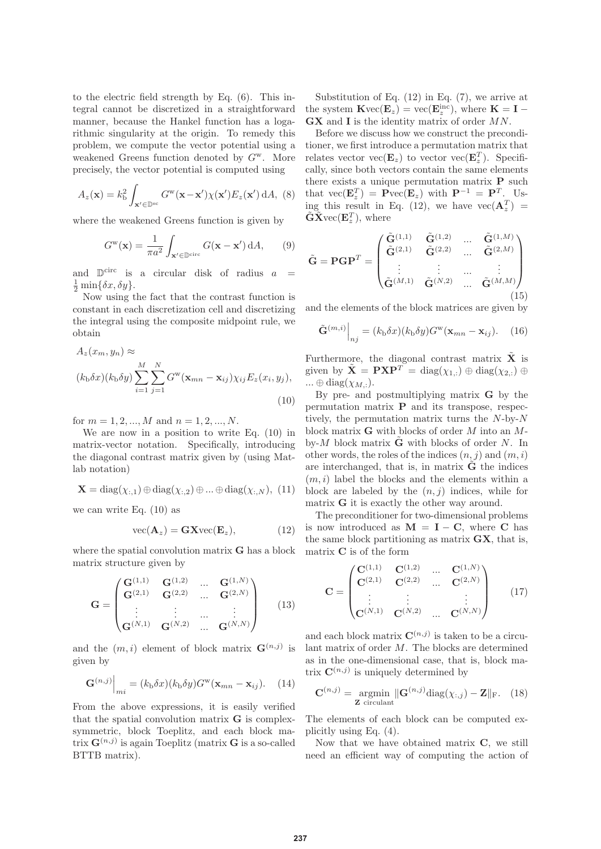to the electric field strength by Eq. (6). This integral cannot be discretized in a straightforward manner, because the Hankel function has a logarithmic singularity at the origin. To remedy this problem, we compute the vector potential using a weakened Greens function denoted by  $G^w$ . More precisely, the vector potential is computed using

$$
A_z(\mathbf{x}) = k_\mathrm{b}^2 \int_{\mathbf{x}' \in \mathbb{D}^{\mathrm{sc}}} G^{\mathrm{w}}(\mathbf{x} - \mathbf{x}') \chi(\mathbf{x}') E_z(\mathbf{x}') \, \mathrm{d}A, \tag{8}
$$

where the weakened Greens function is given by

$$
G^{\mathbf{w}}(\mathbf{x}) = \frac{1}{\pi a^2} \int_{\mathbf{x}' \in \mathbb{D}^{\text{circ}}} G(\mathbf{x} - \mathbf{x}') \, dA, \qquad (9)
$$

and  $\mathbb{D}^{\text{circ}}$  is a circular disk of radius a  $\frac{1}{2} \min\{\delta x, \delta y\}.$ 

Now using the fact that the contrast function is constant in each discretization cell and discretizing the integral using the composite midpoint rule, we obtain

$$
A_z(x_m, y_n) \approx
$$
  
\n
$$
(k_b \delta x)(k_b \delta y) \sum_{i=1}^{M} \sum_{j=1}^{N} G^{\mathbf{w}}(\mathbf{x}_{mn} - \mathbf{x}_{ij}) \chi_{ij} E_z(x_i, y_j),
$$
  
\n(10)

for  $m = 1, 2, ..., M$  and  $n = 1, 2, ..., N$ .

We are now in a position to write Eq. (10) in matrix-vector notation. Specifically, introducing the diagonal contrast matrix given by (using Matlab notation)

$$
\mathbf{X} = \text{diag}(\chi_{:,1}) \oplus \text{diag}(\chi_{:,2}) \oplus \dots \oplus \text{diag}(\chi_{:,N}), (11)
$$

we can write Eq.  $(10)$  as

$$
\text{vec}(\mathbf{A}_z) = \mathbf{G}\mathbf{X}\text{vec}(\mathbf{E}_z),\tag{12}
$$

where the spatial convolution matrix **G** has a block matrix structure given by

$$
\mathbf{G} = \begin{pmatrix} \mathbf{G}^{(1,1)} & \mathbf{G}^{(1,2)} & \cdots & \mathbf{G}^{(1,N)} \\ \mathbf{G}^{(2,1)} & \mathbf{G}^{(2,2)} & \cdots & \mathbf{G}^{(2,N)} \\ \vdots & \vdots & \cdots & \vdots \\ \mathbf{G}^{(N,1)} & \mathbf{G}^{(N,2)} & \cdots & \mathbf{G}^{(N,N)} \end{pmatrix}
$$
(13)

and the  $(m, i)$  element of block matrix  $\mathbf{G}^{(n,j)}$  is given by

$$
\mathbf{G}^{(n,j)}\Big|_{mi} = (k_{\mathrm{b}}\delta x)(k_{\mathrm{b}}\delta y)G^{\mathrm{w}}(\mathbf{x}_{mn} - \mathbf{x}_{ij}). \quad (14)
$$

From the above expressions, it is easily verified that the spatial convolution matrix **G** is complexsymmetric, block Toeplitz, and each block matrix  $\mathbf{G}^{(n,j)}$  is again Toeplitz (matrix  $\mathbf{G}$  is a so-called BTTB matrix).

Substitution of Eq. (12) in Eq. (7), we arrive at the system  $\mathbf{K}$ vec $(\mathbf{E}_z)$  = vec $(\mathbf{E}_z^{\text{inc}})$ , where  $\mathbf{K} = \mathbf{I}$  – **GX** and **I** is the identity matrix of order MN.

Before we discuss how we construct the preconditioner, we first introduce a permutation matrix that relates vector  $\text{vec}(\mathbf{E}_z)$  to vector  $\text{vec}(\mathbf{E}_z^T)$ . Specifically, since both vectors contain the same elements there exists a unique permutation matrix **P** such that  $\text{vec}(\mathbf{E}_z^T) = \textbf{P}\text{vec}(\mathbf{E}_z)$  with  $\mathbf{P}^{-1} = \mathbf{P}^T$ . Using this result in Eq. (12), we have  $\text{vec}(\mathbf{A}_z^T)$  =  $\widetilde{\mathbf{G}}\widetilde{\mathbf{X}}\text{vec}(\mathbf{E}_z^T)$ , where

$$
\tilde{\mathbf{G}} = \mathbf{P}\mathbf{G}\mathbf{P}^T = \begin{pmatrix}\n\tilde{\mathbf{G}}^{(1,1)} & \tilde{\mathbf{G}}^{(1,2)} & \cdots & \tilde{\mathbf{G}}^{(1,M)} \\
\tilde{\mathbf{G}}^{(2,1)} & \tilde{\mathbf{G}}^{(2,2)} & \cdots & \tilde{\mathbf{G}}^{(2,M)} \\
\vdots & \vdots & \cdots & \vdots \\
\tilde{\mathbf{G}}^{(M,1)} & \tilde{\mathbf{G}}^{(N,2)} & \cdots & \tilde{\mathbf{G}}^{(M,M)}\n\end{pmatrix}
$$
\n(15)

and the elements of the block matrices are given by

$$
\tilde{\mathbf{G}}^{(m,i)}\Big|_{nj} = (k_{\mathrm{b}}\delta x)(k_{\mathrm{b}}\delta y)G^{\mathrm{w}}(\mathbf{x}_{mn} - \mathbf{x}_{ij}). \quad (16)
$$

Furthermore, the diagonal contrast matrix  $\tilde{\mathbf{X}}$  is given by  $\tilde{\mathbf{X}} = \mathbf{P}\mathbf{X}\mathbf{P}^T = \text{diag}(\chi_{1,:}) \oplus \text{diag}(\chi_{2,:}) \oplus$  $\ldots \oplus \mathrm{diag}(\chi_{M,:}).$ 

By pre- and postmultiplying matrix **G** by the permutation matrix **P** and its transpose, respectively, the permutation matrix turns the  $N$ -by- $N$ block matrix **G** with blocks of order M into an Mby- $M$  block matrix  $\tilde{G}$  with blocks of order  $N$ . In other words, the roles of the indices  $(n, j)$  and  $(m, i)$ are interchanged, that is, in matrix  $\tilde{G}$  the indices  $(m, i)$  label the blocks and the elements within a block are labeled by the  $(n, j)$  indices, while for matrix **G** it is exactly the other way around.

The preconditioner for two-dimensional problems is now introduced as  $M = I - C$ , where **C** has the same block partitioning as matrix **GX**, that is, matrix **C** is of the form

$$
\mathbf{C} = \begin{pmatrix} \mathbf{C}^{(1,1)} & \mathbf{C}^{(1,2)} & \cdots & \mathbf{C}^{(1,N)} \\ \mathbf{C}^{(2,1)} & \mathbf{C}^{(2,2)} & \cdots & \mathbf{C}^{(2,N)} \\ \vdots & \vdots & & \vdots \\ \mathbf{C}^{(N,1)} & \mathbf{C}^{(N,2)} & \cdots & \mathbf{C}^{(N,N)} \end{pmatrix}
$$
(17)

and each block matrix  $\mathbf{C}^{(n,j)}$  is taken to be a circulant matrix of order M. The blocks are determined as in the one-dimensional case, that is, block matrix  $\mathbf{C}^{(n,j)}$  is uniquely determined by

$$
\mathbf{C}^{(n,j)} = \underset{\mathbf{Z} \text{ circular}}{\operatorname{argmin}} \|\mathbf{G}^{(n,j)} \text{diag}(\chi_{:,j}) - \mathbf{Z}\|_{\text{F}}. \quad (18)
$$

The elements of each block can be computed explicitly using Eq. (4).

Now that we have obtained matrix **C**, we still need an efficient way of computing the action of